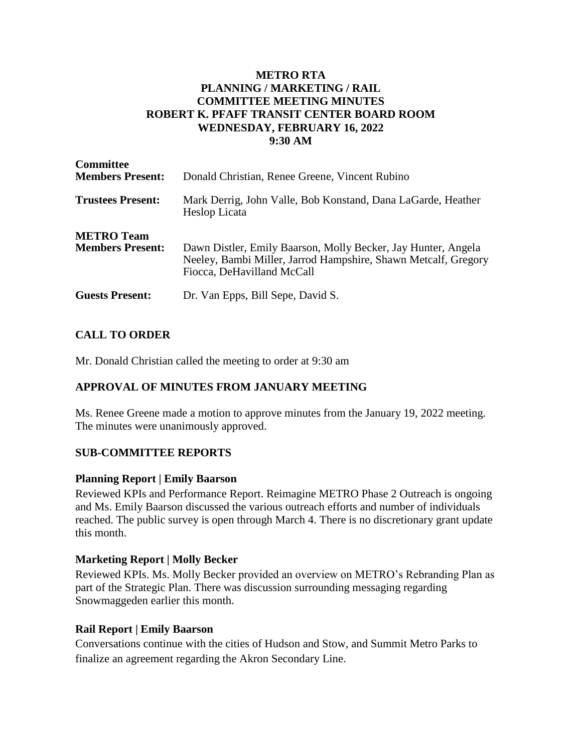#### **METRO RTA PLANNING / MARKETING / RAIL COMMITTEE MEETING MINUTES ROBERT K. PFAFF TRANSIT CENTER BOARD ROOM WEDNESDAY, FEBRUARY 16, 2022 9:30 AM**

| <b>Committee</b><br><b>Members Present:</b>  | Donald Christian, Renee Greene, Vincent Rubino                                                                                                                |
|----------------------------------------------|---------------------------------------------------------------------------------------------------------------------------------------------------------------|
| <b>Trustees Present:</b>                     | Mark Derrig, John Valle, Bob Konstand, Dana LaGarde, Heather<br>Heslop Licata                                                                                 |
| <b>METRO</b> Team<br><b>Members Present:</b> | Dawn Distler, Emily Baarson, Molly Becker, Jay Hunter, Angela<br>Neeley, Bambi Miller, Jarrod Hampshire, Shawn Metcalf, Gregory<br>Fiocca, DeHavilland McCall |
| <b>Guests Present:</b>                       | Dr. Van Epps, Bill Sepe, David S.                                                                                                                             |

## **CALL TO ORDER**

Mr. Donald Christian called the meeting to order at 9:30 am

## **APPROVAL OF MINUTES FROM JANUARY MEETING**

Ms. Renee Greene made a motion to approve minutes from the January 19, 2022 meeting. The minutes were unanimously approved.

## **SUB-COMMITTEE REPORTS**

#### **Planning Report | Emily Baarson**

Reviewed KPIs and Performance Report. Reimagine METRO Phase 2 Outreach is ongoing and Ms. Emily Baarson discussed the various outreach efforts and number of individuals reached. The public survey is open through March 4. There is no discretionary grant update this month.

## **Marketing Report | Molly Becker**

Reviewed KPIs. Ms. Molly Becker provided an overview on METRO's Rebranding Plan as part of the Strategic Plan. There was discussion surrounding messaging regarding Snowmaggeden earlier this month.

#### **Rail Report | Emily Baarson**

Conversations continue with the cities of Hudson and Stow, and Summit Metro Parks to finalize an agreement regarding the Akron Secondary Line.